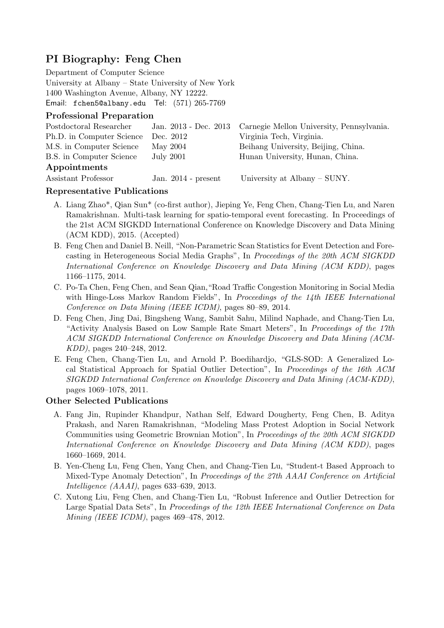# **PI Biography: Feng Chen**

Department of Computer Science University at Albany – State University of New York 1400 Washington Avenue, Albany, NY 12222. Email: fchen5@albany.edu Tel: (571) 265-7769

### **Professional Preparation**

| Postdoctoral Researcher   |                       | Jan. 2013 - Dec. 2013 Carnegie Mellon University, Pennsylvania. |
|---------------------------|-----------------------|-----------------------------------------------------------------|
| Ph.D. in Computer Science | Dec. 2012             | Virginia Tech, Virginia.                                        |
| M.S. in Computer Science  | May 2004              | Beihang University, Beijing, China.                             |
| B.S. in Computer Science  | <b>July 2001</b>      | Hunan University, Hunan, China.                                 |
| Appointments              |                       |                                                                 |
| Assistant Professor       | Jan. $2014$ - present | University at Albany $-$ SUNY.                                  |

#### **Representative Publications**

- A. Liang Zhao\*, Qian Sun\* (co-first author), Jieping Ye, Feng Chen, Chang-Tien Lu, and Naren Ramakrishnan. Multi-task learning for spatio-temporal event forecasting. In Proceedings of the 21st ACM SIGKDD International Conference on Knowledge Discovery and Data Mining (ACM KDD), 2015. (Accepted)
- B. Feng Chen and Daniel B. Neill, "Non-Parametric Scan Statistics for Event Detection and Forecasting in Heterogeneous Social Media Graphs", In *Proceedings of the 20th ACM SIGKDD International Conference on Knowledge Discovery and Data Mining (ACM KDD)*, pages 1166–1175, 2014.
- C. Po-Ta Chen, Feng Chen, and Sean Qian,"Road Traffic Congestion Monitoring in Social Media with Hinge-Loss Markov Random Fields", In *Proceedings of the 14th IEEE International Conference on Data Mining (IEEE ICDM)*, pages 80–89, 2014.
- D. Feng Chen, Jing Dai, Bingsheng Wang, Sambit Sahu, Milind Naphade, and Chang-Tien Lu, "Activity Analysis Based on Low Sample Rate Smart Meters", In *Proceedings of the 17th ACM SIGKDD International Conference on Knowledge Discovery and Data Mining (ACM-KDD)*, pages 240–248, 2012.
- E. Feng Chen, Chang-Tien Lu, and Arnold P. Boedihardjo, "GLS-SOD: A Generalized Local Statistical Approach for Spatial Outlier Detection", In *Proceedings of the 16th ACM SIGKDD International Conference on Knowledge Discovery and Data Mining (ACM-KDD)*, pages 1069–1078, 2011.

#### **Other Selected Publications**

- A. Fang Jin, Rupinder Khandpur, Nathan Self, Edward Dougherty, Feng Chen, B. Aditya Prakash, and Naren Ramakrishnan, "Modeling Mass Protest Adoption in Social Network Communities using Geometric Brownian Motion", In *Proceedings of the 20th ACM SIGKDD International Conference on Knowledge Discovery and Data Mining (ACM KDD)*, pages 1660–1669, 2014.
- B. Yen-Cheng Lu, Feng Chen, Yang Chen, and Chang-Tien Lu, "Student-t Based Approach to Mixed-Type Anomaly Detection", In *Proceedings of the 27th AAAI Conference on Artificial Intelligence (AAAI)*, pages 633–639, 2013.
- C. Xutong Liu, Feng Chen, and Chang-Tien Lu, "Robust Inference and Outlier Detrection for Large Spatial Data Sets", In *Proceedings of the 12th IEEE International Conference on Data Mining (IEEE ICDM)*, pages 469–478, 2012.